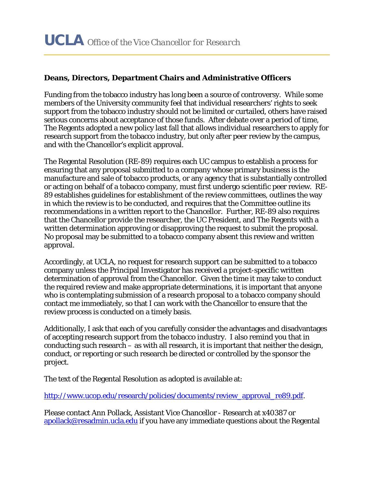## **Deans, Directors, Department Chairs and Administrative Officers**

Funding from the tobacco industry has long been a source of controversy. While some members of the University community feel that individual researchers' rights to seek support from the tobacco industry should not be limited or curtailed, others have raised serious concerns about acceptance of those funds. After debate over a period of time, The Regents adopted a new policy last fall that allows individual researchers to apply for research support from the tobacco industry, but only after peer review by the campus, and with the Chancellor's explicit approval.

The Regental Resolution (RE-89) requires each UC campus to establish a process for ensuring that any proposal submitted to a company whose primary business is the manufacture and sale of tobacco products, or any agency that is substantially controlled or acting on behalf of a tobacco company, must first undergo scientific peer review. RE-89 establishes guidelines for establishment of the review committees, outlines the way in which the review is to be conducted, and requires that the Committee outline its recommendations in a written report to the Chancellor. Further, RE-89 also requires that the Chancellor provide the researcher, the UC President, and The Regents with a written determination approving or disapproving the request to submit the proposal. No proposal may be submitted to a tobacco company absent this review and written approval.

Accordingly, at UCLA, no request for research support can be submitted to a tobacco company unless the Principal Investigator has received a project-specific written determination of approval from the Chancellor. Given the time it may take to conduct the required review and make appropriate determinations, it is important that anyone who is contemplating submission of a research proposal to a tobacco company should contact me immediately, so that I can work with the Chancellor to ensure that the review process is conducted on a timely basis.

Additionally, I ask that each of you carefully consider the advantages and disadvantages of accepting research support from the tobacco industry. I also remind you that in conducting such research – as with all research, it is important that neither the design, conduct, or reporting or such research be directed or controlled by the sponsor the project.

The text of the Regental Resolution as adopted is available at:

http://www.ucop.edu/research/policies/documents/review\_approval\_re89.pdf.

Please contact Ann Pollack, Assistant Vice Chancellor - Research at x40387 or apollack@resadmin.ucla.edu if you have any immediate questions about the Regental